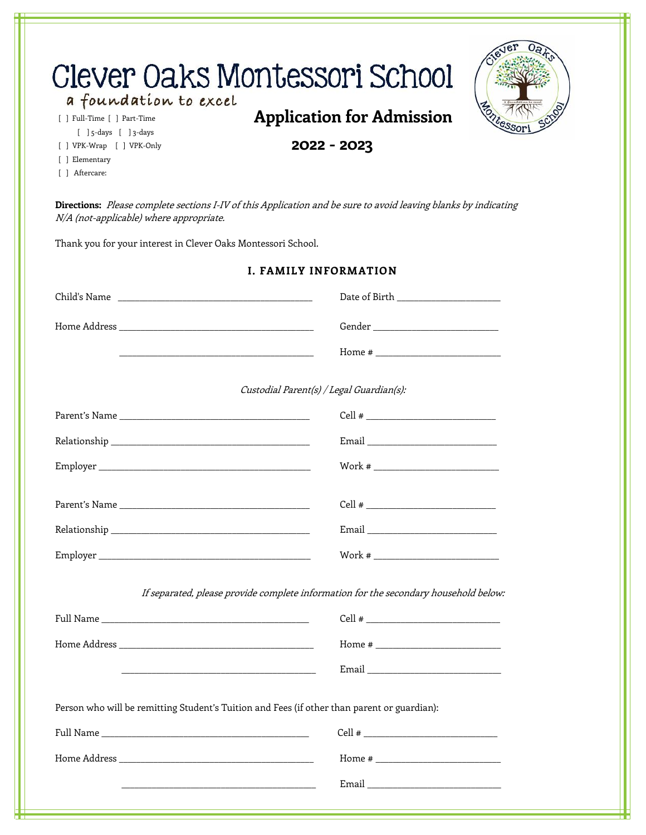| a foundation to excel<br>[ ] Full-Time [ ] Part-Time<br>$[$ ] 5-days $[$ ] 3-days<br>[ ] VPK-Wrap [ ] VPK-Only<br>[ ] Elementary<br>[ ] Aftercare: | Clever Oaks Montessori School<br><b>Application for Admission</b><br>2022 - 2023                                     |
|----------------------------------------------------------------------------------------------------------------------------------------------------|----------------------------------------------------------------------------------------------------------------------|
| N/A (not-applicable) where appropriate.                                                                                                            | Directions: Please complete sections I-IV of this Application and be sure to avoid leaving blanks by indicating      |
| Thank you for your interest in Clever Oaks Montessori School.                                                                                      |                                                                                                                      |
|                                                                                                                                                    | <b>I. FAMILY INFORMATION</b>                                                                                         |
|                                                                                                                                                    | Date of Birth _____________________                                                                                  |
|                                                                                                                                                    |                                                                                                                      |
|                                                                                                                                                    | <u> 1980 - Jan James James James James James James James James James James James James James James James James J</u> |
|                                                                                                                                                    | Custodial Parent(s) / Legal Guardian(s):                                                                             |
|                                                                                                                                                    |                                                                                                                      |
|                                                                                                                                                    |                                                                                                                      |
|                                                                                                                                                    |                                                                                                                      |
|                                                                                                                                                    |                                                                                                                      |
|                                                                                                                                                    | Email ______________________________                                                                                 |
|                                                                                                                                                    |                                                                                                                      |
|                                                                                                                                                    | If separated, please provide complete information for the secondary household below:                                 |
|                                                                                                                                                    |                                                                                                                      |
|                                                                                                                                                    |                                                                                                                      |
|                                                                                                                                                    | <u> 2000 - 2000 - 2000 - 2000 - 2000 - 2000 - 2000 - 2000 - 2000 - 2000 - 2000 - 2000 - 2000 - 2000 - 2000 - 200</u> |
|                                                                                                                                                    | Person who will be remitting Student's Tuition and Fees (if other than parent or guardian):                          |
|                                                                                                                                                    |                                                                                                                      |
|                                                                                                                                                    |                                                                                                                      |
|                                                                                                                                                    |                                                                                                                      |
|                                                                                                                                                    |                                                                                                                      |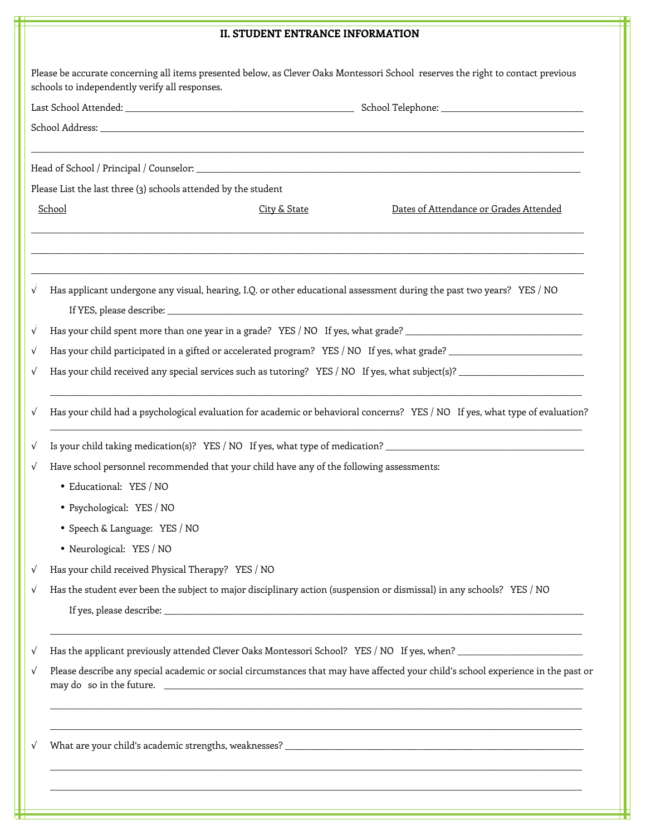## **II. STUDENT ENTRANCE INFORMATION**

|   | Please be accurate concerning all items presented below, as Clever Oaks Montessori School reserves the right to contact previous<br>schools to independently verify all responses. |
|---|------------------------------------------------------------------------------------------------------------------------------------------------------------------------------------|
|   |                                                                                                                                                                                    |
|   |                                                                                                                                                                                    |
|   |                                                                                                                                                                                    |
|   |                                                                                                                                                                                    |
|   | Please List the last three (3) schools attended by the student                                                                                                                     |
|   | School<br>Dates of Attendance or Grades Attended<br>City & State                                                                                                                   |
| ð | Has applicant undergone any visual, hearing, I.Q. or other educational assessment during the past two years? YES / NO                                                              |
| ð | Has your child spent more than one year in a grade? YES / NO If yes, what grade? _____________________________                                                                     |
| ð |                                                                                                                                                                                    |
| ð |                                                                                                                                                                                    |
| ð | Has your child had a psychological evaluation for academic or behavioral concerns? YES / NO If yes, what type of evaluation?                                                       |
| ð | Is your child taking medication(s)? YES / NO If yes, what type of medication? ________________________________                                                                     |
| ð | Have school personnel recommended that your child have any of the following assessments:                                                                                           |
|   | J Educational: YES / NO                                                                                                                                                            |
|   | J Psychological: YES / NO                                                                                                                                                          |
|   | Speech & Language: YES / NO                                                                                                                                                        |
|   | Neurological: YES / NO                                                                                                                                                             |
| ð | Has your child received Physical Therapy? YES / NO                                                                                                                                 |
| ð | Has the student ever been the subject to major disciplinary action (suspension or dismissal) in any schools? YES / NO                                                              |
|   |                                                                                                                                                                                    |
| ð | Has the applicant previously attended Clever Oaks Montessori School? YES / NO If yes, when?                                                                                        |
| ð | Please describe any special academic or social circumstances that may have affected your child's school experience in the past or                                                  |
| Ô |                                                                                                                                                                                    |